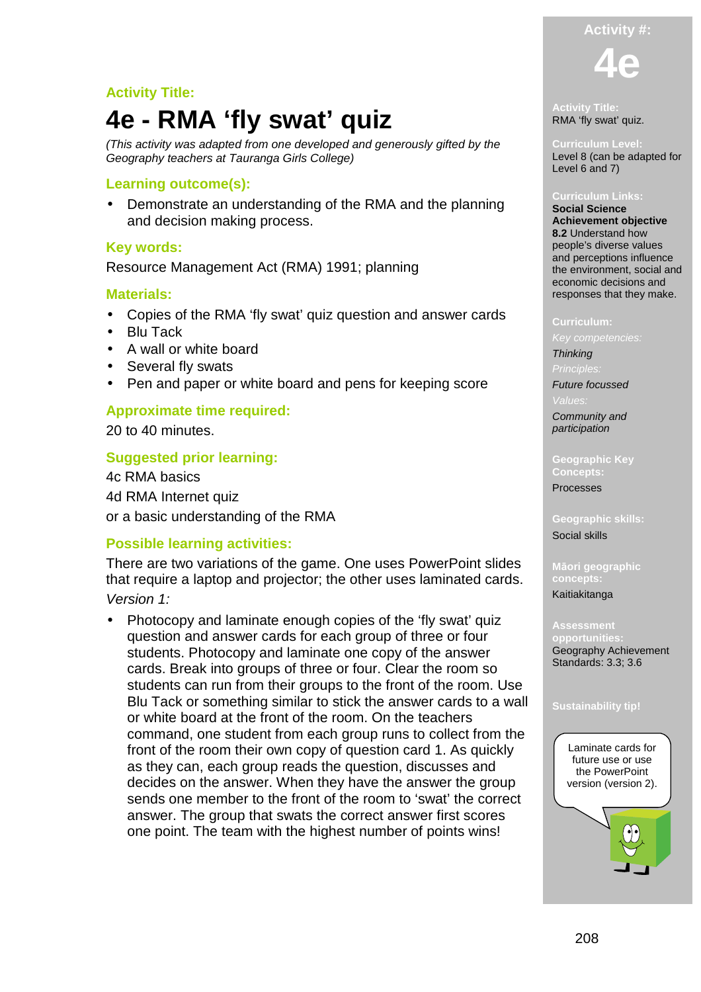# **Activity Title:**

# **4e - RMA 'fly swat' quiz**

(This activity was adapted from one developed and generously gifted by the Geography teachers at Tauranga Girls College)

#### **Learning outcome(s):**

• Demonstrate an understanding of the RMA and the planning and decision making process.

#### **Key words:**

Resource Management Act (RMA) 1991; planning

#### **Materials:**

- Copies of the RMA 'fly swat' quiz question and answer cards
- Blu Tack
- A wall or white board
- Several fly swats
- Pen and paper or white board and pens for keeping score

### **Approximate time required:**

20 to 40 minutes.

### **Suggested prior learning:**

4c RMA basics 4d RMA Internet quiz or a basic understanding of the RMA

#### **Possible learning activities:**

There are two variations of the game. One uses PowerPoint slides that require a laptop and projector; the other uses laminated cards. Version 1:

• Photocopy and laminate enough copies of the 'fly swat' quiz question and answer cards for each group of three or four students. Photocopy and laminate one copy of the answer cards. Break into groups of three or four. Clear the room so students can run from their groups to the front of the room. Use Blu Tack or something similar to stick the answer cards to a wall or white board at the front of the room. On the teachers command, one student from each group runs to collect from the front of the room their own copy of question card 1. As quickly as they can, each group reads the question, discusses and decides on the answer. When they have the answer the group sends one member to the front of the room to 'swat' the correct answer. The group that swats the correct answer first scores one point. The team with the highest number of points wins!

**Activity Title:**  RMA 'fly swat' quiz.

**Curriculum Level:**  Level 8 (can be adapted for Level 6 and 7)

#### **Curriculum Links:**

**Social Science Achievement objective 8.2** Understand how people's diverse values and perceptions influence the environment, social and economic decisions and responses that they make.

#### **Curriculum:**

**Thinking** 

 $Princir$ 

Future focussed

Community and

participation **Geographic Key** 

**Concepts:** 

Processes

**Geographic skills:**  Social skills

**Māori geographic concepts:** 

Kaitiakitanga

**Assessment opportunities:**  Geography Achievement Standards: 3.3; 3.6



#### **Activity #:**

**4e**